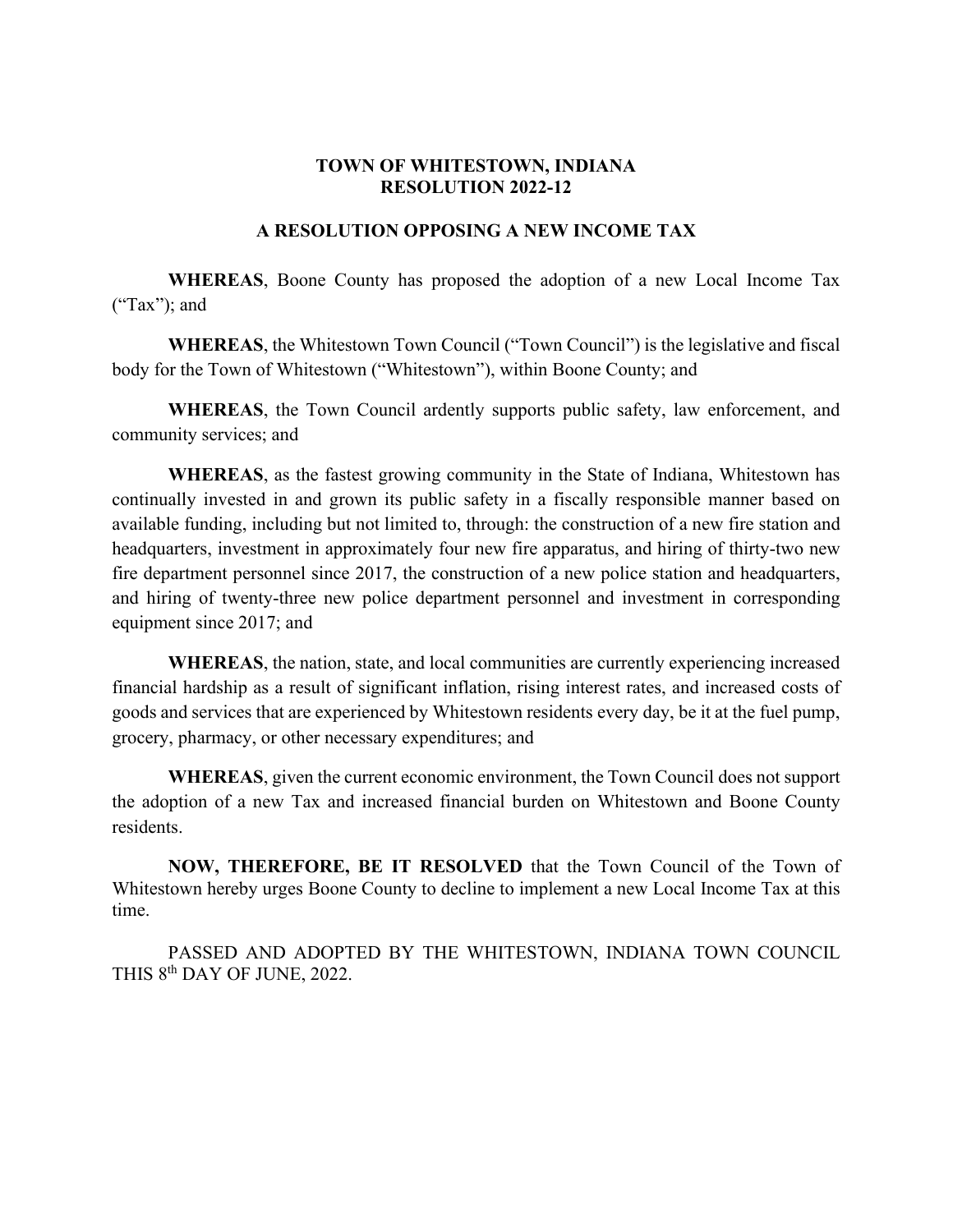## **TOWN OF WHITESTOWN, INDIANA RESOLUTION 2022-12**

## **A RESOLUTION OPPOSING A NEW INCOME TAX**

**WHEREAS**, Boone County has proposed the adoption of a new Local Income Tax  $("Tax")$ ; and

**WHEREAS**, the Whitestown Town Council ("Town Council") is the legislative and fiscal body for the Town of Whitestown ("Whitestown"), within Boone County; and

**WHEREAS**, the Town Council ardently supports public safety, law enforcement, and community services; and

**WHEREAS**, as the fastest growing community in the State of Indiana, Whitestown has continually invested in and grown its public safety in a fiscally responsible manner based on available funding, including but not limited to, through: the construction of a new fire station and headquarters, investment in approximately four new fire apparatus, and hiring of thirty-two new fire department personnel since 2017, the construction of a new police station and headquarters, and hiring of twenty-three new police department personnel and investment in corresponding equipment since 2017; and

**WHEREAS**, the nation, state, and local communities are currently experiencing increased financial hardship as a result of significant inflation, rising interest rates, and increased costs of goods and services that are experienced by Whitestown residents every day, be it at the fuel pump, grocery, pharmacy, or other necessary expenditures; and

**WHEREAS**, given the current economic environment, the Town Council does not support the adoption of a new Tax and increased financial burden on Whitestown and Boone County residents.

**NOW, THEREFORE, BE IT RESOLVED** that the Town Council of the Town of Whitestown hereby urges Boone County to decline to implement a new Local Income Tax at this time.

PASSED AND ADOPTED BY THE WHITESTOWN, INDIANA TOWN COUNCIL THIS 8<sup>th</sup> DAY OF JUNE, 2022.